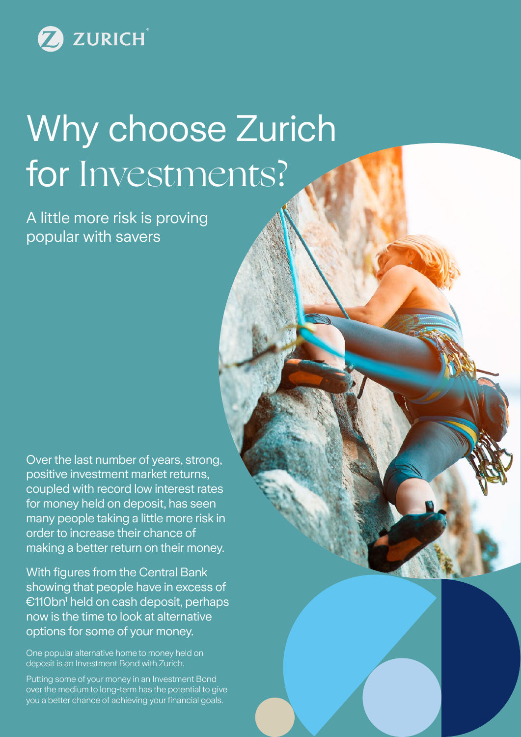

# Why choose Zurich for Investments?

A little more risk is proving popular with savers

Over the last number of years, strong, positive investment market returns, coupled with record low interest rates for money held on deposit, has seen many people taking a little more risk in order to increase their chance of making a better return on their money.

With figures from the Central Bank showing that people have in excess of €110bn1 held on cash deposit, perhaps now is the time to look at alternative options for some of your money.

One popular alternative home to money held on deposit is an Investment Bond with Zurich.

Putting some of your money in an Investment Bond over the medium to long-term has the potential to give you a better chance of achieving your financial goals.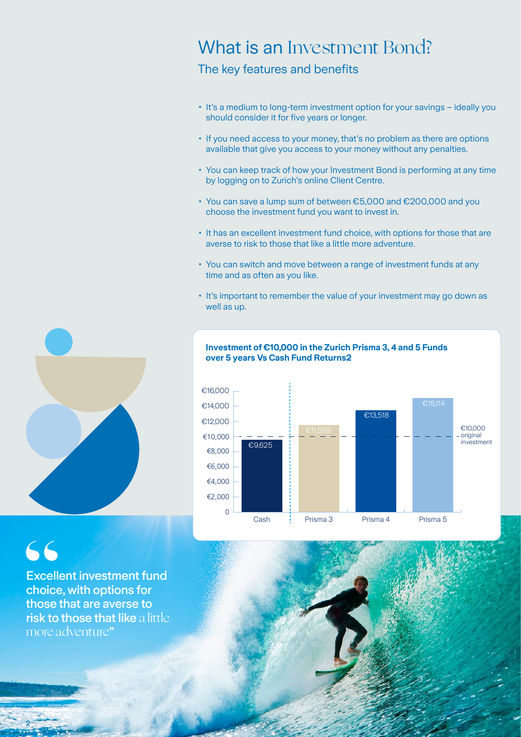# What is an Investment Bond?

The key features and benefits

- It's a medium to long-term investment option for your savings ideally you should consider it for five years or longer.
- If you need access to your money, that's no problem as there are options available that give you access to your money without any penalties.
- You can keep track of how your Investment Bond is performing at any time by logging on to Zurich's online Client Centre.
- You can save a lump sum of between €5,000 and €200,000 and you choose the investment fund you want to invest in.
- It has an excellent investment fund choice, with options for those that are averse to risk to those that like a little more adventure.
- You can switch and move between a range of investment funds at any time and as often as you like.
- It's important to remember the value of your investment may go down as well as up.



€ Scale



### **Investment of €10,000 in the Zurich Prisma 3, 4 and 5 Funds over 5 years Vs Cash Fund Returns2**

# 66

2

Excellent investment fund choice, with options for those that are averse to risk to those that like a little more adventure"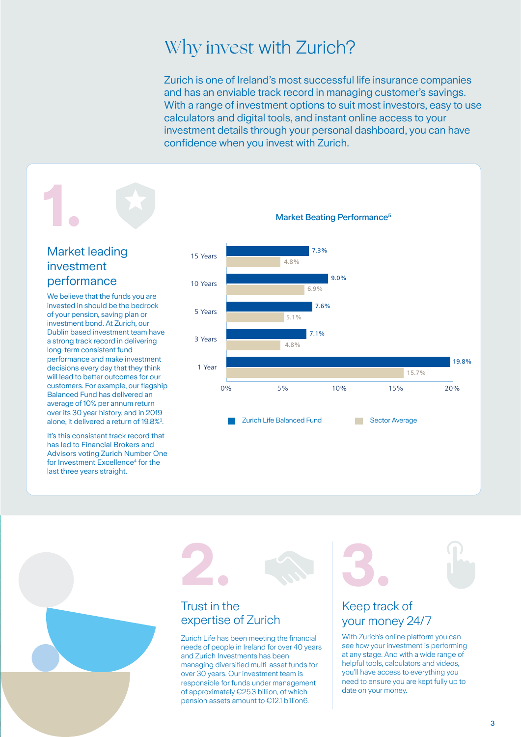# Why invest with Zurich?

Zurich is one of Ireland's most successful life insurance companies and has an enviable track record in managing customer's savings. With a range of investment options to suit most investors, easy to use calculators and digital tools, and instant online access to your investment details through your personal dashboard, you can have confidence when you invest with Zurich.